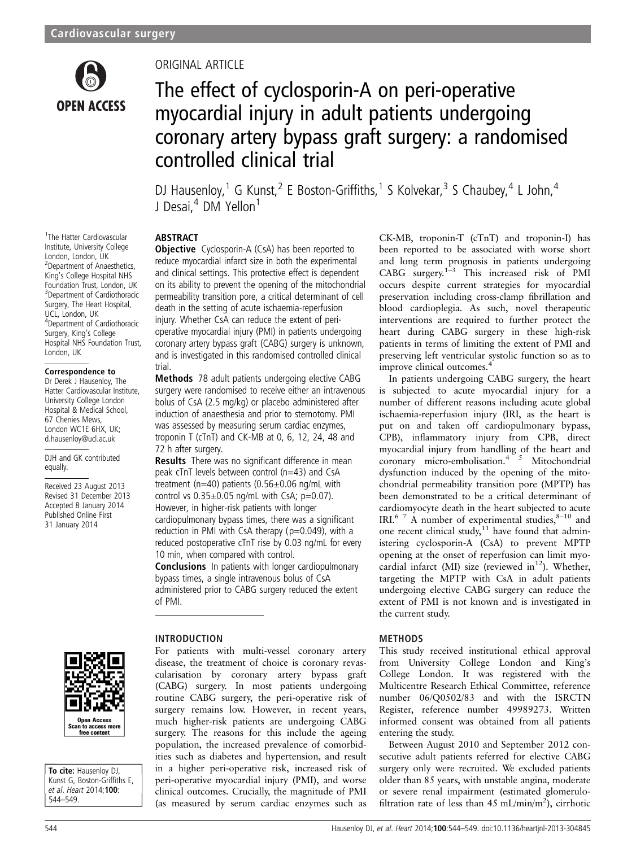

#### 1 The Hatter Cardiovascular Institute, University College London, London, UK 2 Department of Anaesthetics, King's College Hospital NHS Foundation Trust, London, UK <sup>3</sup> Department of Cardiothoracic Surgery, The Heart Hospital, UCL, London, UK 4 Department of Cardiothoracic Surgery, King's College Hospital NHS Foundation Trust, London, UK

#### Correspondence to

Dr Derek J Hausenloy, The Hatter Cardiovascular Institute, University College London Hospital & Medical School, 67 Chenies Mews, London WC1E 6HX, UK; d.hausenloy@ucl.ac.uk

DJH and GK contributed equally.

Received 23 August 2013 Revised 31 December 2013 Accepted 8 January 2014 Published Online First 31 January 2014

# ORIGINAL ARTICLE

# The effect of cyclosporin-A on peri-operative myocardial injury in adult patients undergoing coronary artery bypass graft surgery: a randomised controlled clinical trial

DJ Hausenloy,<sup>1</sup> G Kunst,<sup>2</sup> E Boston-Griffiths,<sup>1</sup> S Kolvekar,<sup>3</sup> S Chaubey,<sup>4</sup> L John,<sup>4</sup> J Desai,<sup>4</sup> DM Yellon<sup>1</sup>

# ABSTRACT

**Objective** Cyclosporin-A (CsA) has been reported to reduce myocardial infarct size in both the experimental and clinical settings. This protective effect is dependent on its ability to prevent the opening of the mitochondrial permeability transition pore, a critical determinant of cell death in the setting of acute ischaemia-reperfusion injury. Whether CsA can reduce the extent of perioperative myocardial injury (PMI) in patients undergoing coronary artery bypass graft (CABG) surgery is unknown, and is investigated in this randomised controlled clinical trial.

Methods 78 adult patients undergoing elective CABG surgery were randomised to receive either an intravenous bolus of CsA (2.5 mg/kg) or placebo administered after induction of anaesthesia and prior to sternotomy. PMI was assessed by measuring serum cardiac enzymes, troponin T (cTnT) and CK-MB at 0, 6, 12, 24, 48 and 72 h after surgery.

**Results** There was no significant difference in mean peak cTnT levels between control (n=43) and CsA treatment (n=40) patients  $(0.56 \pm 0.06$  ng/mL with control vs  $0.35\pm0.05$  ng/mL with CsA; p=0.07). However, in higher-risk patients with longer cardiopulmonary bypass times, there was a significant reduction in PMI with CsA therapy ( $p=0.049$ ), with a reduced postoperative cTnT rise by 0.03 ng/mL for every 10 min, when compared with control.

Conclusions In patients with longer cardiopulmonary bypass times, a single intravenous bolus of CsA administered prior to CABG surgery reduced the extent of PMI.

### INTRODUCTION

For patients with multi-vessel coronary artery disease, the treatment of choice is coronary revascularisation by coronary artery bypass graft (CABG) surgery. In most patients undergoing routine CABG surgery, the peri-operative risk of surgery remains low. However, in recent years, much higher-risk patients are undergoing CABG surgery. The reasons for this include the ageing population, the increased prevalence of comorbidities such as diabetes and hypertension, and result in a higher peri-operative risk, increased risk of peri-operative myocardial injury (PMI), and worse clinical outcomes. Crucially, the magnitude of PMI (as measured by serum cardiac enzymes such as

CK-MB, troponin-T (cTnT) and troponin-I) has been reported to be associated with worse short and long term prognosis in patients undergoing CABG surgery.1–<sup>3</sup> This increased risk of PMI occurs despite current strategies for myocardial preservation including cross-clamp fibrillation and blood cardioplegia. As such, novel therapeutic interventions are required to further protect the heart during CABG surgery in these high-risk patients in terms of limiting the extent of PMI and preserving left ventricular systolic function so as to improve clinical outcomes.<sup>4</sup>

In patients undergoing CABG surgery, the heart is subjected to acute myocardial injury for a number of different reasons including acute global ischaemia-reperfusion injury (IRI, as the heart is put on and taken off cardiopulmonary bypass, CPB), inflammatory injury from CPB, direct myocardial injury from handling of the heart and coronary micro-embolisation.<sup>4</sup> <sup>5</sup> Mitochondrial dysfunction induced by the opening of the mitochondrial permeability transition pore (MPTP) has been demonstrated to be a critical determinant of cardiomyocyte death in the heart subjected to acute IRI.<sup>6 7</sup> A number of experimental studies, $8-10$  and one recent clinical study, $11$  have found that administering cyclosporin-A (CsA) to prevent MPTP opening at the onset of reperfusion can limit myocardial infarct (MI) size (reviewed in $^{12}$ ). Whether, targeting the MPTP with CsA in adult patients undergoing elective CABG surgery can reduce the extent of PMI is not known and is investigated in the current study.

### METHODS

This study received institutional ethical approval from University College London and King's College London. It was registered with the Multicentre Research Ethical Committee, reference number 06/Q0502/83 and with the ISRCTN Register, reference number 49989273. Written informed consent was obtained from all patients entering the study.

Between August 2010 and September 2012 consecutive adult patients referred for elective CABG surgery only were recruited. We excluded patients older than 85 years, with unstable angina, moderate or severe renal impairment (estimated glomerulofiltration rate of less than 45 mL/min/m<sup>2</sup>), cirrhotic



To cite: Hausenloy DJ, Kunst G, Boston-Griffiths E, et al. Heart 2014;100: 544–549.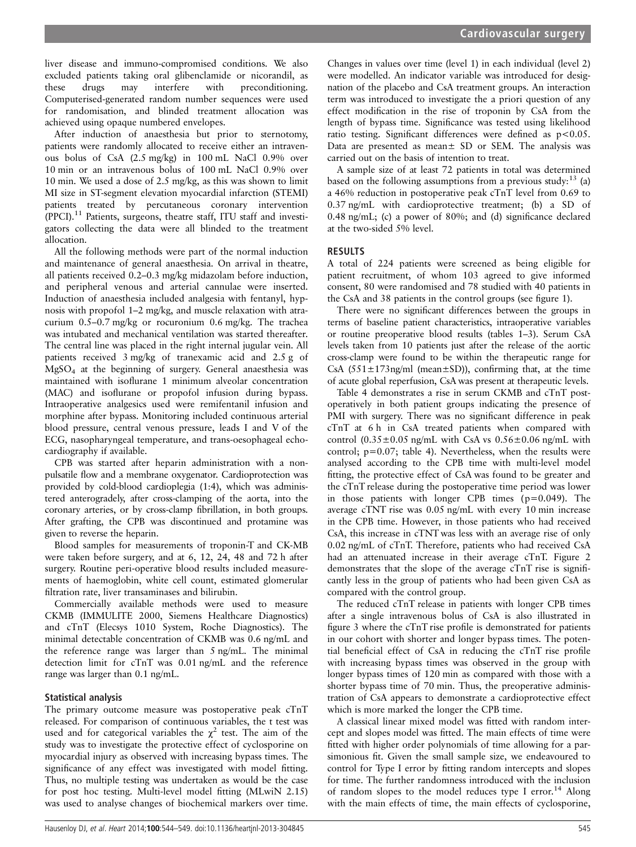liver disease and immuno-compromised conditions. We also excluded patients taking oral glibenclamide or nicorandil, as these drugs may interfere with preconditioning. Computerised-generated random number sequences were used for randomisation, and blinded treatment allocation was achieved using opaque numbered envelopes.

After induction of anaesthesia but prior to sternotomy, patients were randomly allocated to receive either an intravenous bolus of CsA (2.5 mg/kg) in 100 mL NaCl 0.9% over 10 min or an intravenous bolus of 100 mL NaCl 0.9% over 10 min. We used a dose of 2.5 mg/kg, as this was shown to limit MI size in ST-segment elevation myocardial infarction (STEMI) patients treated by percutaneous coronary intervention (PPCI).11 Patients, surgeons, theatre staff, ITU staff and investigators collecting the data were all blinded to the treatment allocation.

All the following methods were part of the normal induction and maintenance of general anaesthesia. On arrival in theatre, all patients received 0.2–0.3 mg/kg midazolam before induction, and peripheral venous and arterial cannulae were inserted. Induction of anaesthesia included analgesia with fentanyl, hypnosis with propofol 1–2 mg/kg, and muscle relaxation with atracurium 0.5–0.7 mg/kg or rocuronium 0.6 mg/kg. The trachea was intubated and mechanical ventilation was started thereafter. The central line was placed in the right internal jugular vein. All patients received 3 mg/kg of tranexamic acid and 2.5 g of MgSO4 at the beginning of surgery. General anaesthesia was maintained with isoflurane 1 minimum alveolar concentration (MAC) and isoflurane or propofol infusion during bypass. Intraoperative analgesics used were remifentanil infusion and morphine after bypass. Monitoring included continuous arterial blood pressure, central venous pressure, leads I and V of the ECG, nasopharyngeal temperature, and trans-oesophageal echocardiography if available.

CPB was started after heparin administration with a nonpulsatile flow and a membrane oxygenator. Cardioprotection was provided by cold-blood cardioplegia (1:4), which was administered anterogradely, after cross-clamping of the aorta, into the coronary arteries, or by cross-clamp fibrillation, in both groups. After grafting, the CPB was discontinued and protamine was given to reverse the heparin.

Blood samples for measurements of troponin-T and CK-MB were taken before surgery, and at 6, 12, 24, 48 and 72 h after surgery. Routine peri-operative blood results included measurements of haemoglobin, white cell count, estimated glomerular filtration rate, liver transaminases and bilirubin.

Commercially available methods were used to measure CKMB (IMMULITE 2000, Siemens Healthcare Diagnostics) and cTnT (Elecsys 1010 System, Roche Diagnostics). The minimal detectable concentration of CKMB was 0.6 ng/mL and the reference range was larger than 5 ng/mL. The minimal detection limit for cTnT was 0.01 ng/mL and the reference range was larger than 0.1 ng/mL.

### Statistical analysis

The primary outcome measure was postoperative peak cTnT released. For comparison of continuous variables, the t test was used and for categorical variables the  $\chi^2$  test. The aim of the study was to investigate the protective effect of cyclosporine on myocardial injury as observed with increasing bypass times. The significance of any effect was investigated with model fitting. Thus, no multiple testing was undertaken as would be the case for post hoc testing. Multi-level model fitting (MLwiN 2.15) was used to analyse changes of biochemical markers over time.

Changes in values over time (level 1) in each individual (level 2) were modelled. An indicator variable was introduced for designation of the placebo and CsA treatment groups. An interaction term was introduced to investigate the a priori question of any effect modification in the rise of troponin by CsA from the length of bypass time. Significance was tested using likelihood ratio testing. Significant differences were defined as p<0.05. Data are presented as mean± SD or SEM. The analysis was carried out on the basis of intention to treat.

A sample size of at least 72 patients in total was determined based on the following assumptions from a previous study:  $^{13}$  (a) a 46% reduction in postoperative peak cTnT level from 0.69 to 0.37 ng/mL with cardioprotective treatment; (b) a SD of 0.48 ng/mL; (c) a power of 80%; and (d) significance declared at the two-sided 5% level.

## RESULTS

A total of 224 patients were screened as being eligible for patient recruitment, of whom 103 agreed to give informed consent, 80 were randomised and 78 studied with 40 patients in the CsA and 38 patients in the control groups (see figure 1).

There were no significant differences between the groups in terms of baseline patient characteristics, intraoperative variables or routine preoperative blood results (tables 1–3). Serum CsA levels taken from 10 patients just after the release of the aortic cross-clamp were found to be within the therapeutic range for CsA  $(551 \pm 173 \text{ ng/ml}$  (mean $\pm$ SD)), confirming that, at the time of acute global reperfusion, CsA was present at therapeutic levels.

Table 4 demonstrates a rise in serum CKMB and cTnT postoperatively in both patient groups indicating the presence of PMI with surgery. There was no significant difference in peak cTnT at 6 h in CsA treated patients when compared with control  $(0.35\pm0.05$  ng/mL with CsA vs  $0.56\pm0.06$  ng/mL with control; p=0.07; table 4). Nevertheless, when the results were analysed according to the CPB time with multi-level model fitting, the protective effect of CsA was found to be greater and the cTnT release during the postoperative time period was lower in those patients with longer CPB times  $(p=0.049)$ . The average cTNT rise was 0.05 ng/mL with every 10 min increase in the CPB time. However, in those patients who had received CsA, this increase in cTNT was less with an average rise of only 0.02 ng/mL of cTnT. Therefore, patients who had received CsA had an attenuated increase in their average cTnT. Figure 2 demonstrates that the slope of the average cTnT rise is significantly less in the group of patients who had been given CsA as compared with the control group.

The reduced cTnT release in patients with longer CPB times after a single intravenous bolus of CsA is also illustrated in figure 3 where the cTnT rise profile is demonstrated for patients in our cohort with shorter and longer bypass times. The potential beneficial effect of CsA in reducing the cTnT rise profile with increasing bypass times was observed in the group with longer bypass times of 120 min as compared with those with a shorter bypass time of 70 min. Thus, the preoperative administration of CsA appears to demonstrate a cardioprotective effect which is more marked the longer the CPB time.

A classical linear mixed model was fitted with random intercept and slopes model was fitted. The main effects of time were fitted with higher order polynomials of time allowing for a parsimonious fit. Given the small sample size, we endeavoured to control for Type I error by fitting random intercepts and slopes for time. The further randomness introduced with the inclusion of random slopes to the model reduces type I error.<sup>14</sup> Along with the main effects of time, the main effects of cyclosporine,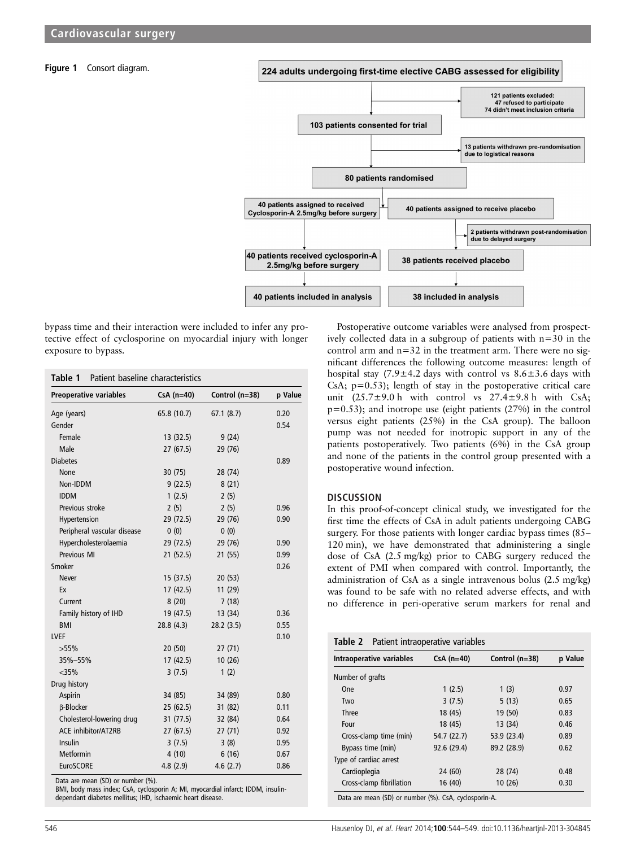#### Figure 1 Consort diagram.





bypass time and their interaction were included to infer any protective effect of cyclosporine on myocardial injury with longer exposure to bypass.

| <b>Preoperative variables</b> | $CsA(n=40)$ | Control (n=38) | p Value |
|-------------------------------|-------------|----------------|---------|
| Age (years)                   | 65.8 (10.7) | 67.1(8.7)      | 0.20    |
| Gender                        |             |                | 0.54    |
| Female                        | 13(32.5)    | 9(24)          |         |
| Male                          | 27(67.5)    | 29 (76)        |         |
| <b>Diabetes</b>               |             |                | 0.89    |
| <b>None</b>                   | 30(75)      | 28 (74)        |         |
| Non-IDDM                      | 9(22.5)     | 8(21)          |         |
| <b>IDDM</b>                   | 1(2.5)      | 2(5)           |         |
| Previous stroke               | 2(5)        | 2(5)           | 0.96    |
| Hypertension                  | 29 (72.5)   | 29 (76)        | 0.90    |
| Peripheral vascular disease   | 0(0)        | 0(0)           |         |
| Hypercholesterolaemia         | 29 (72.5)   | 29 (76)        | 0.90    |
| Previous MI                   | 21(52.5)    | 21 (55)        | 0.99    |
| Smoker                        |             |                | 0.26    |
| <b>Never</b>                  | 15 (37.5)   | 20(53)         |         |
| Ex                            | 17(42.5)    | 11(29)         |         |
| Current                       | 8(20)       | 7(18)          |         |
| Family history of IHD         | 19 (47.5)   | 13 (34)        | 0.36    |
| <b>BMI</b>                    | 28.8(4.3)   | 28.2(3.5)      | 0.55    |
| <b>LVEF</b>                   |             |                | 0.10    |
| $>55\%$                       | 20(50)      | 27(71)         |         |
| 35%-55%                       | 17(42.5)    | 10(26)         |         |
| $<$ 35%                       | 3(7.5)      | 1(2)           |         |
| Drug history                  |             |                |         |
| Aspirin                       | 34 (85)     | 34 (89)        | 0.80    |
| <b>B-Blocker</b>              | 25(62.5)    | 31 (82)        | 0.11    |
| Cholesterol-lowering drug     | 31(77.5)    | 32 (84)        | 0.64    |
| ACE inhibitor/AT2RB           | 27(67.5)    | 27(71)         | 0.92    |
| Insulin                       | 3(7.5)      | 3(8)           | 0.95    |
| Metformin                     | 4(10)       | 6(16)          | 0.67    |
| EuroSCORE                     | 4.8(2.9)    | 4.6(2.7)       | 0.86    |

Data are mean (SD) or number (%).

BMI, body mass index; CsA, cyclosporin A; MI, myocardial infarct; IDDM, insulindependant diabetes mellitus; IHD, ischaemic heart disease.

Postoperative outcome variables were analysed from prospectively collected data in a subgroup of patients with n=30 in the control arm and  $n=32$  in the treatment arm. There were no significant differences the following outcome measures: length of hospital stay  $(7.9 \pm 4.2$  days with control vs  $8.6 \pm 3.6$  days with CsA; p=0.53); length of stay in the postoperative critical care unit  $(25.7\pm9.0 \text{ h}$  with control vs  $27.4\pm9.8 \text{ h}$  with CsA; p=0.53); and inotrope use (eight patients (27%) in the control versus eight patients (25%) in the CsA group). The balloon pump was not needed for inotropic support in any of the patients postoperatively. Two patients (6%) in the CsA group and none of the patients in the control group presented with a postoperative wound infection.

#### **DISCUSSION**

In this proof-of-concept clinical study, we investigated for the first time the effects of CsA in adult patients undergoing CABG surgery. For those patients with longer cardiac bypass times (85– 120 min), we have demonstrated that administering a single dose of CsA (2.5 mg/kg) prior to CABG surgery reduced the extent of PMI when compared with control. Importantly, the administration of CsA as a single intravenous bolus (2.5 mg/kg) was found to be safe with no related adverse effects, and with no difference in peri-operative serum markers for renal and

| Intraoperative variables | $CsA$ (n=40) | Control (n=38) | p Value |
|--------------------------|--------------|----------------|---------|
| Number of grafts         |              |                |         |
| <b>One</b>               | 1(2.5)       | 1(3)           | 0.97    |
| Two                      | 3(7.5)       | 5(13)          | 0.65    |
| <b>Three</b>             | 18 (45)      | 19 (50)        | 0.83    |
| Four                     | 18 (45)      | 13 (34)        | 0.46    |
| Cross-clamp time (min)   | 54.7 (22.7)  | 53.9 (23.4)    | 0.89    |
| Bypass time (min)        | 92.6 (29.4)  | 89.2 (28.9)    | 0.62    |
| Type of cardiac arrest   |              |                |         |
| Cardioplegia             | 24 (60)      | 28 (74)        | 0.48    |
| Cross-clamp fibrillation | 16(40)       | 10(26)         | 0.30    |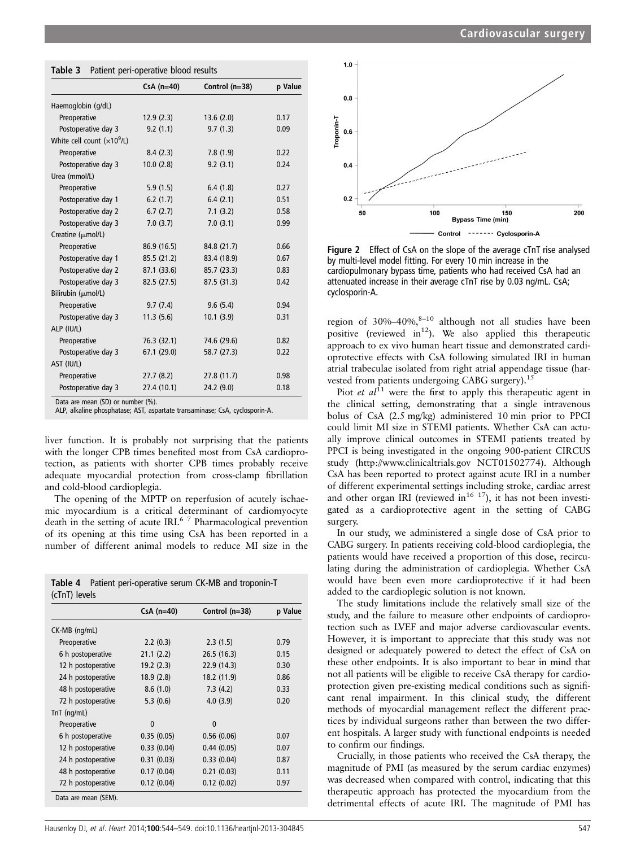|                             | $CsA(n=40)$ | Control (n=38) | p Value |
|-----------------------------|-------------|----------------|---------|
| Haemoglobin (g/dL)          |             |                |         |
| Preoperative                | 12.9(2.3)   | 13.6(2.0)      | 0.17    |
| Postoperative day 3         | 9.2(1.1)    | 9.7(1.3)       | 0.09    |
| White cell count $(x109/L)$ |             |                |         |
| Preoperative                | 8.4(2.3)    | 7.8(1.9)       | 0.22    |
| Postoperative day 3         | 10.0(2.8)   | 9.2(3.1)       | 0.24    |
| Urea (mmol/L)               |             |                |         |
| Preoperative                | 5.9(1.5)    | 6.4(1.8)       | 0.27    |
| Postoperative day 1         | 6.2(1.7)    | 6.4(2.1)       | 0.51    |
| Postoperative day 2         | 6.7(2.7)    | 7.1(3.2)       | 0.58    |
| Postoperative day 3         | 7.0(3.7)    | 7.0(3.1)       | 0.99    |
| Creatine (µmol/L)           |             |                |         |
| Preoperative                | 86.9 (16.5) | 84.8 (21.7)    | 0.66    |
| Postoperative day 1         | 85.5 (21.2) | 83.4 (18.9)    | 0.67    |
| Postoperative day 2         | 87.1 (33.6) | 85.7 (23.3)    | 0.83    |
| Postoperative day 3         | 82.5(27.5)  | 87.5 (31.3)    | 0.42    |
| Bilirubin (µmol/L)          |             |                |         |
| Preoperative                | 9.7(7.4)    | 9.6(5.4)       | 0.94    |
| Postoperative day 3         | 11.3(5.6)   | 10.1(3.9)      | 0.31    |
| ALP (IU/L)                  |             |                |         |
| Preoperative                | 76.3 (32.1) | 74.6 (29.6)    | 0.82    |
| Postoperative day 3         | 67.1(29.0)  | 58.7 (27.3)    | 0.22    |
| AST (IU/L)                  |             |                |         |
| Preoperative                | 27.7(8.2)   | 27.8(11.7)     | 0.98    |
| Postoperative day 3         | 27.4(10.1)  | 24.2 (9.0)     | 0.18    |

ALP, alkaline phosphatase; AST, aspartate transaminase; CsA, cyclosporin-A.

liver function. It is probably not surprising that the patients with the longer CPB times benefited most from CsA cardioprotection, as patients with shorter CPB times probably receive adequate myocardial protection from cross-clamp fibrillation and cold-blood cardioplegia.

The opening of the MPTP on reperfusion of acutely ischaemic myocardium is a critical determinant of cardiomyocyte death in the setting of acute IRI.6 7 Pharmacological prevention of its opening at this time using CsA has been reported in a number of different animal models to reduce MI size in the

|               | <b>Table 4</b> Patient peri-operative serum CK-MB and troponin-T |
|---------------|------------------------------------------------------------------|
| (cTnT) levels |                                                                  |

|                    | $CsA(n=40)$  | Control $(n=38)$ | p Value |
|--------------------|--------------|------------------|---------|
| CK-MB (ng/mL)      |              |                  |         |
| Preoperative       | 2.2(0.3)     | 2.3(1.5)         | 0.79    |
| 6 h postoperative  | 21.1(2.2)    | 26.5(16.3)       | 0.15    |
| 12 h postoperative | 19.2(2.3)    | 22.9 (14.3)      | 0.30    |
| 24 h postoperative | 18.9(2.8)    | 18.2 (11.9)      | 0.86    |
| 48 h postoperative | 8.6(1.0)     | 7.3(4.2)         | 0.33    |
| 72 h postoperative | 5.3(0.6)     | 4.0(3.9)         | 0.20    |
| $TnT$ (ng/mL)      |              |                  |         |
| Preoperative       | $\mathbf{0}$ | $\mathbf{0}$     |         |
| 6 h postoperative  | 0.35(0.05)   | 0.56(0.06)       | 0.07    |
| 12 h postoperative | 0.33(0.04)   | 0.44(0.05)       | 0.07    |
| 24 h postoperative | 0.31(0.03)   | 0.33(0.04)       | 0.87    |
| 48 h postoperative | 0.17(0.04)   | 0.21(0.03)       | 0.11    |
| 72 h postoperative | 0.12(0.04)   | 0.12(0.02)       | 0.97    |



Figure 2 Effect of CsA on the slope of the average cTnT rise analysed by multi-level model fitting. For every 10 min increase in the cardiopulmonary bypass time, patients who had received CsA had an attenuated increase in their average cTnT rise by 0.03 ng/mL. CsA; cyclosporin-A.

region of 30%–40%, $8-10$  although not all studies have been positive (reviewed in<sup>12</sup>). We also applied this therapeutic approach to ex vivo human heart tissue and demonstrated cardioprotective effects with CsA following simulated IRI in human atrial trabeculae isolated from right atrial appendage tissue (harvested from patients undergoing CABG surgery).<sup>15</sup>

Piot *et al*<sup>11</sup> were the first to apply this therapeutic agent in the clinical setting, demonstrating that a single intravenous bolus of CsA (2.5 mg/kg) administered 10 min prior to PPCI could limit MI size in STEMI patients. Whether CsA can actually improve clinical outcomes in STEMI patients treated by PPCI is being investigated in the ongoing 900-patient CIRCUS study (<http://www.clinicaltrials.gov> NCT01502774). Although CsA has been reported to protect against acute IRI in a number of different experimental settings including stroke, cardiac arrest and other organ IRI (reviewed in<sup>16 17</sup>), it has not been investigated as a cardioprotective agent in the setting of CABG surgery.

In our study, we administered a single dose of CsA prior to CABG surgery. In patients receiving cold-blood cardioplegia, the patients would have received a proportion of this dose, recirculating during the administration of cardioplegia. Whether CsA would have been even more cardioprotective if it had been added to the cardioplegic solution is not known.

The study limitations include the relatively small size of the study, and the failure to measure other endpoints of cardioprotection such as LVEF and major adverse cardiovascular events. However, it is important to appreciate that this study was not designed or adequately powered to detect the effect of CsA on these other endpoints. It is also important to bear in mind that not all patients will be eligible to receive CsA therapy for cardioprotection given pre-existing medical conditions such as significant renal impairment. In this clinical study, the different methods of myocardial management reflect the different practices by individual surgeons rather than between the two different hospitals. A larger study with functional endpoints is needed to confirm our findings.

Crucially, in those patients who received the CsA therapy, the magnitude of PMI (as measured by the serum cardiac enzymes) was decreased when compared with control, indicating that this therapeutic approach has protected the myocardium from the detrimental effects of acute IRI. The magnitude of PMI has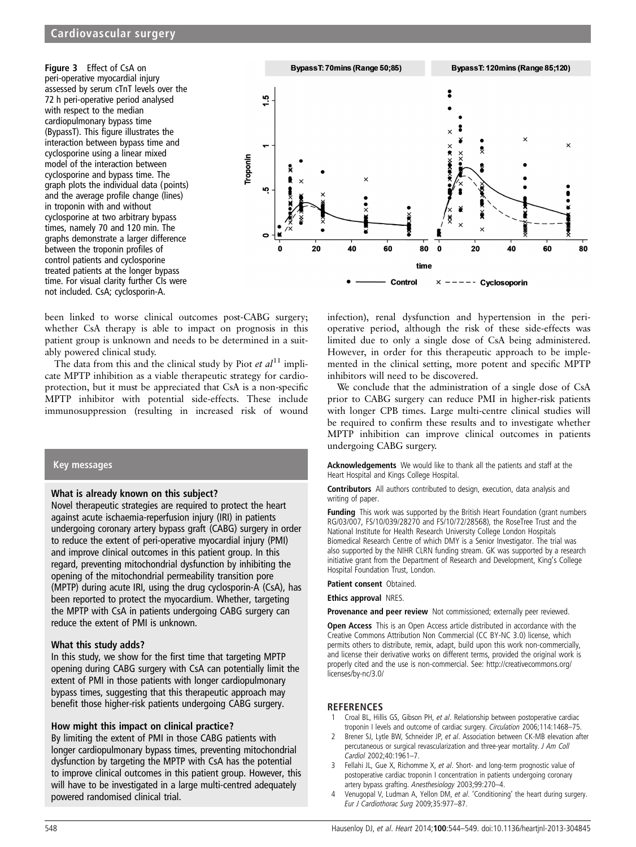Figure 3 Effect of CsA on peri-operative myocardial injury assessed by serum cTnT levels over the 72 h peri-operative period analysed with respect to the median cardiopulmonary bypass time (BypassT). This figure illustrates the interaction between bypass time and cyclosporine using a linear mixed model of the interaction between cyclosporine and bypass time. The graph plots the individual data (points) and the average profile change (lines) in troponin with and without cyclosporine at two arbitrary bypass times, namely 70 and 120 min. The graphs demonstrate a larger difference between the troponin profiles of control patients and cyclosporine treated patients at the longer bypass time. For visual clarity further CIs were not included. CsA; cyclosporin-A.



been linked to worse clinical outcomes post-CABG surgery; whether CsA therapy is able to impact on prognosis in this patient group is unknown and needs to be determined in a suitably powered clinical study.

The data from this and the clinical study by Piot *et al*<sup>11</sup> implicate MPTP inhibition as a viable therapeutic strategy for cardioprotection, but it must be appreciated that CsA is a non-specific MPTP inhibitor with potential side-effects. These include immunosuppression (resulting in increased risk of wound

### Key messages

### What is already known on this subject?

Novel therapeutic strategies are required to protect the heart against acute ischaemia-reperfusion injury (IRI) in patients undergoing coronary artery bypass graft (CABG) surgery in order to reduce the extent of peri-operative myocardial injury (PMI) and improve clinical outcomes in this patient group. In this regard, preventing mitochondrial dysfunction by inhibiting the opening of the mitochondrial permeability transition pore (MPTP) during acute IRI, using the drug cyclosporin-A (CsA), has been reported to protect the myocardium. Whether, targeting the MPTP with CsA in patients undergoing CABG surgery can reduce the extent of PMI is unknown.

### What this study adds?

In this study, we show for the first time that targeting MPTP opening during CABG surgery with CsA can potentially limit the extent of PMI in those patients with longer cardiopulmonary bypass times, suggesting that this therapeutic approach may benefit those higher-risk patients undergoing CABG surgery.

### How might this impact on clinical practice?

By limiting the extent of PMI in those CABG patients with longer cardiopulmonary bypass times, preventing mitochondrial dysfunction by targeting the MPTP with CsA has the potential to improve clinical outcomes in this patient group. However, this will have to be investigated in a large multi-centred adequately powered randomised clinical trial.

infection), renal dysfunction and hypertension in the perioperative period, although the risk of these side-effects was limited due to only a single dose of CsA being administered. However, in order for this therapeutic approach to be implemented in the clinical setting, more potent and specific MPTP inhibitors will need to be discovered.

We conclude that the administration of a single dose of CsA prior to CABG surgery can reduce PMI in higher-risk patients with longer CPB times. Large multi-centre clinical studies will be required to confirm these results and to investigate whether MPTP inhibition can improve clinical outcomes in patients undergoing CABG surgery.

Acknowledgements We would like to thank all the patients and staff at the Heart Hospital and Kings College Hospital.

Contributors All authors contributed to design, execution, data analysis and writing of paper.

**Funding** This work was supported by the British Heart Foundation (grant numbers RG/03/007, FS/10/039/28270 and FS/10/72/28568), the RoseTree Trust and the National Institute for Health Research University College London Hospitals Biomedical Research Centre of which DMY is a Senior Investigator. The trial was also supported by the NIHR CLRN funding stream. GK was supported by a research initiative grant from the Department of Research and Development, King's College Hospital Foundation Trust, London.

Patient consent Obtained.

Ethics approval NRES.

Provenance and peer review Not commissioned; externally peer reviewed.

Open Access This is an Open Access article distributed in accordance with the Creative Commons Attribution Non Commercial (CC BY-NC 3.0) license, which permits others to distribute, remix, adapt, build upon this work non-commercially, and license their derivative works on different terms, provided the original work is properly cited and the use is non-commercial. See: [http://creativecommons.org/](http://creativecommons.org/licenses/by-nc/3.0/) [licenses/by-nc/3.0/](http://creativecommons.org/licenses/by-nc/3.0/)

### REFERENCES

- 1 Croal BL, Hillis GS, Gibson PH, et al. Relationship between postoperative cardiac troponin I levels and outcome of cardiac surgery. Circulation 2006;114:1468–75.
- Brener SJ, Lytle BW, Schneider JP, et al. Association between CK-MB elevation after percutaneous or surgical revascularization and three-year mortality. J Am Coll Cardiol 2002;40:1961–7.
- 3 Fellahi JL, Gue X, Richomme X, et al. Short- and long-term prognostic value of postoperative cardiac troponin I concentration in patients undergoing coronary artery bypass grafting. Anesthesiology 2003;99:270–4.
- Venugopal V, Ludman A, Yellon DM, et al. 'Conditioning' the heart during surgery. Eur J Cardiothorac Surg 2009;35:977–87.